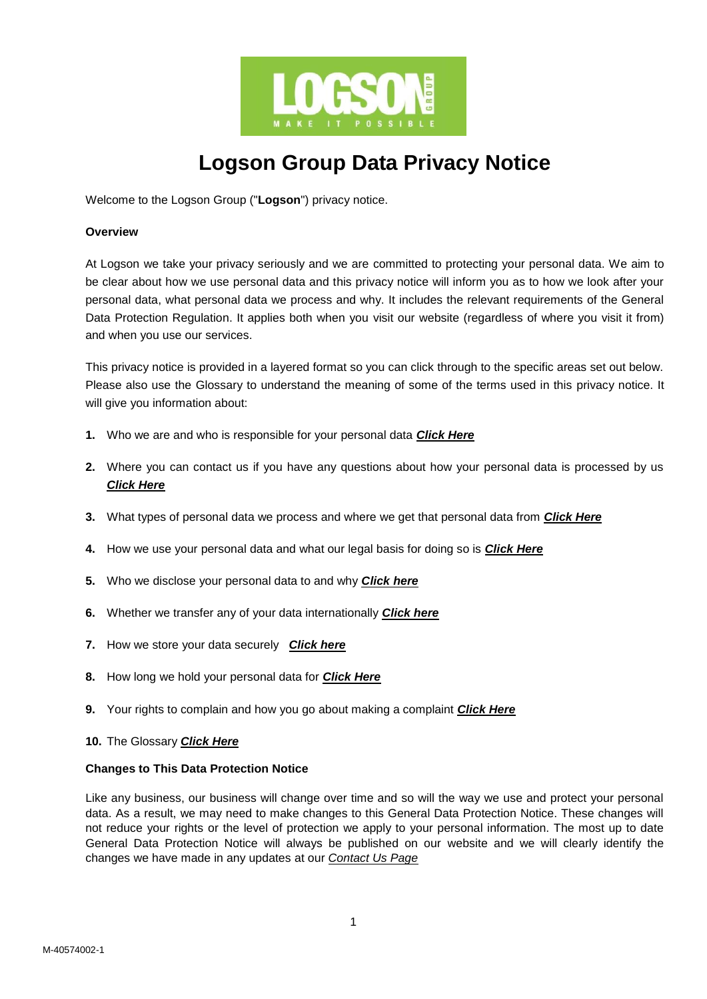

# **Logson Group Data Privacy Notice**

Welcome to the Logson Group ("**Logson**") privacy notice.

## **Overview**

At Logson we take your privacy seriously and we are committed to protecting your personal data. We aim to be clear about how we use personal data and this privacy notice will inform you as to how we look after your personal data, what personal data we process and why. It includes the relevant requirements of the General Data Protection Regulation. It applies both when you visit our website (regardless of where you visit it from) and when you use our services.

This privacy notice is provided in a layered format so you can click through to the specific areas set out below. Please also use the Glossary to understand the meaning of some of the terms used in this privacy notice. It will give you information about:

- **1.** Who we are and who is responsible for your personal data *[Click Here](#page-1-0)*
- **2.** Where you can contact us if you have any questions about how your personal data is processed by us *[Click Here](#page-1-1)*
- **3.** What types of personal data we process and where we get that personal data from *[Click Here](#page-1-2)*
- **4.** How we use your personal data and what our legal basis for doing so is *[Click Here](#page-2-0)*
- **5.** Who we disclose your personal data to and why *[Click here](#page-5-0)*
- **6.** Whether we transfer any of your data internationally *[Click here](#page-5-1)*
- **7.** How we store your data securely *[Click here](#page-5-2)*
- **8.** How long we hold your personal data for *[Click Here](#page-6-0)*
- **9.** Your rights to complain and how you go about making a complaint *[Click Here](#page-6-1)*

## **10.** The Glossary *[Click Here](#page-8-0)*

## **Changes to This Data Protection Notice**

Like any business, our business will change over time and so will the way we use and protect your personal data. As a result, we may need to make changes to this General Data Protection Notice. These changes will not reduce your rights or the level of protection we apply to your personal information. The most up to date General Data Protection Notice will always be published on our website and we will clearly identify the changes we have made in any updates at our *[Contact Us Page](http://www.logsongroup.co.uk/contact-us.php)*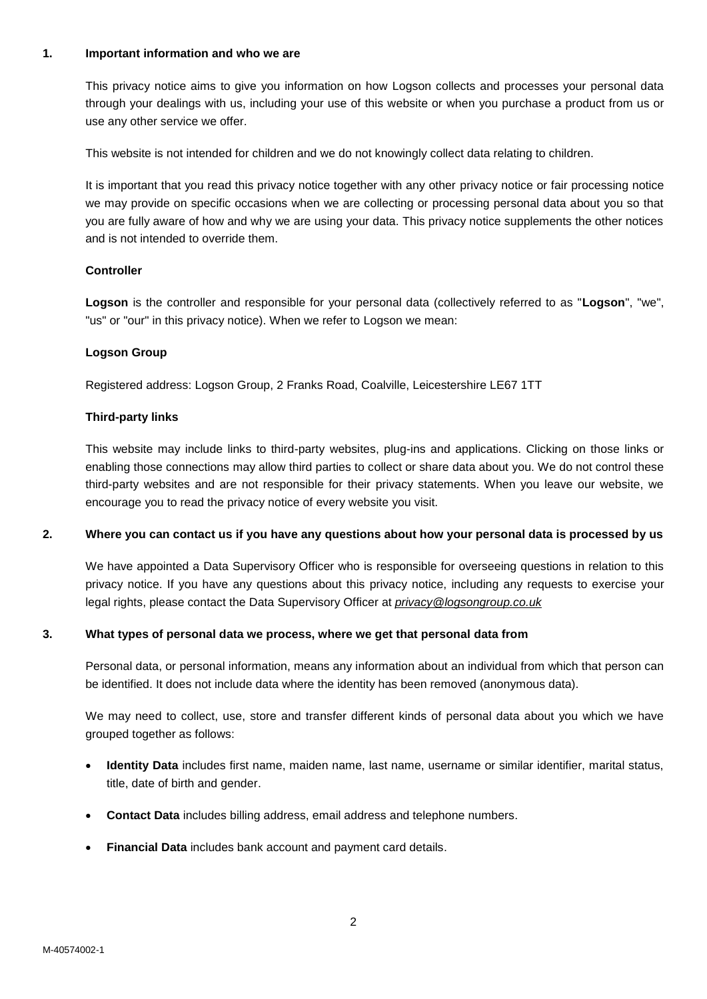#### <span id="page-1-0"></span>**1. Important information and who we are**

This privacy notice aims to give you information on how Logson collects and processes your personal data through your dealings with us, including your use of this website or when you purchase a product from us or use any other service we offer.

This website is not intended for children and we do not knowingly collect data relating to children.

It is important that you read this privacy notice together with any other privacy notice or fair processing notice we may provide on specific occasions when we are collecting or processing personal data about you so that you are fully aware of how and why we are using your data. This privacy notice supplements the other notices and is not intended to override them.

## **Controller**

**Logson** is the controller and responsible for your personal data (collectively referred to as "**Logson**", "we", "us" or "our" in this privacy notice). When we refer to Logson we mean:

## **Logson Group**

Registered address: Logson Group, 2 Franks Road, Coalville, Leicestershire LE67 1TT

## **Third-party links**

This website may include links to third-party websites, plug-ins and applications. Clicking on those links or enabling those connections may allow third parties to collect or share data about you. We do not control these third-party websites and are not responsible for their privacy statements. When you leave our website, we encourage you to read the privacy notice of every website you visit.

## <span id="page-1-1"></span>**2. Where you can contact us if you have any questions about how your personal data is processed by us**

We have appointed a Data Supervisory Officer who is responsible for overseeing questions in relation to this privacy notice. If you have any questions about this privacy notice, including any requests to exercise your legal rights, please contact the Data Supervisory Officer at *[privacy@logsongroup.co.uk](mailto:privacy@logsongroup.co.uk?subject=Privacy)*

## <span id="page-1-2"></span>**3. What types of personal data we process, where we get that personal data from**

Personal data, or personal information, means any information about an individual from which that person can be identified. It does not include data where the identity has been removed (anonymous data).

We may need to collect, use, store and transfer different kinds of personal data about you which we have grouped together as follows:

- **Identity Data** includes first name, maiden name, last name, username or similar identifier, marital status, title, date of birth and gender.
- **Contact Data** includes billing address, email address and telephone numbers.
- **Financial Data** includes bank account and payment card details.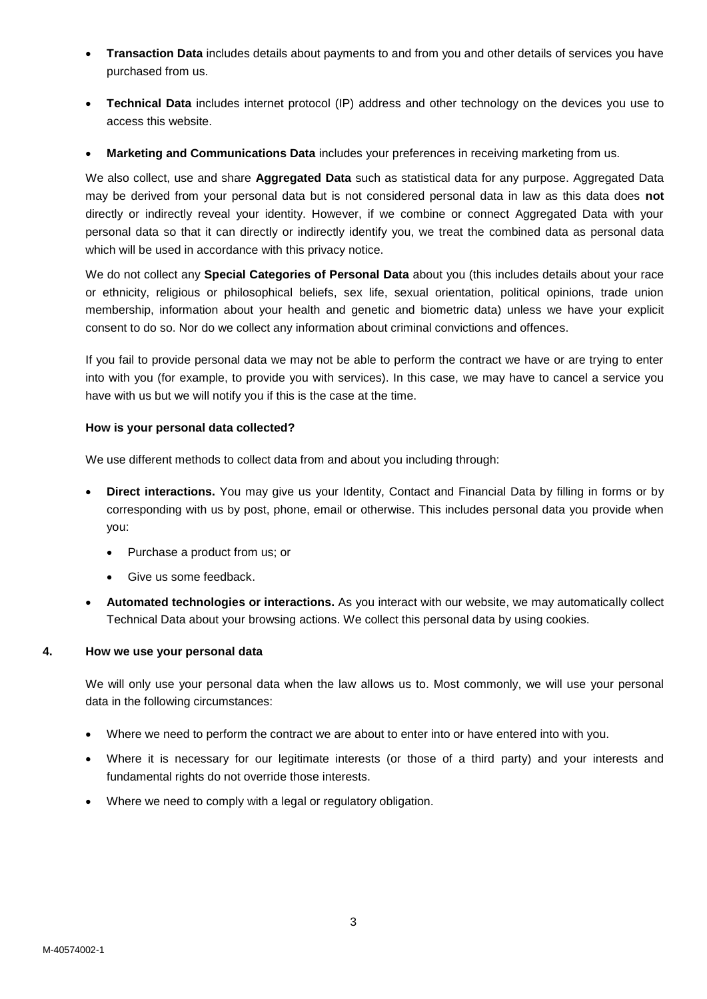- **Transaction Data** includes details about payments to and from you and other details of services you have purchased from us.
- **Technical Data** includes internet protocol (IP) address and other technology on the devices you use to access this website.
- **Marketing and Communications Data** includes your preferences in receiving marketing from us.

We also collect, use and share **Aggregated Data** such as statistical data for any purpose. Aggregated Data may be derived from your personal data but is not considered personal data in law as this data does **not** directly or indirectly reveal your identity. However, if we combine or connect Aggregated Data with your personal data so that it can directly or indirectly identify you, we treat the combined data as personal data which will be used in accordance with this privacy notice.

We do not collect any **Special Categories of Personal Data** about you (this includes details about your race or ethnicity, religious or philosophical beliefs, sex life, sexual orientation, political opinions, trade union membership, information about your health and genetic and biometric data) unless we have your explicit consent to do so. Nor do we collect any information about criminal convictions and offences.

If you fail to provide personal data we may not be able to perform the contract we have or are trying to enter into with you (for example, to provide you with services). In this case, we may have to cancel a service you have with us but we will notify you if this is the case at the time.

## **How is your personal data collected?**

We use different methods to collect data from and about you including through:

- **Direct interactions.** You may give us your Identity, Contact and Financial Data by filling in forms or by corresponding with us by post, phone, email or otherwise. This includes personal data you provide when you:
	- Purchase a product from us; or
	- Give us some feedback.
- **Automated technologies or interactions.** As you interact with our website, we may automatically collect Technical Data about your browsing actions. We collect this personal data by using cookies.

## <span id="page-2-0"></span>**4. How we use your personal data**

We will only use your personal data when the law allows us to. Most commonly, we will use your personal data in the following circumstances:

- Where we need to perform the contract we are about to enter into or have entered into with you.
- Where it is necessary for our legitimate interests (or those of a third party) and your interests and fundamental rights do not override those interests.
- Where we need to comply with a legal or regulatory obligation.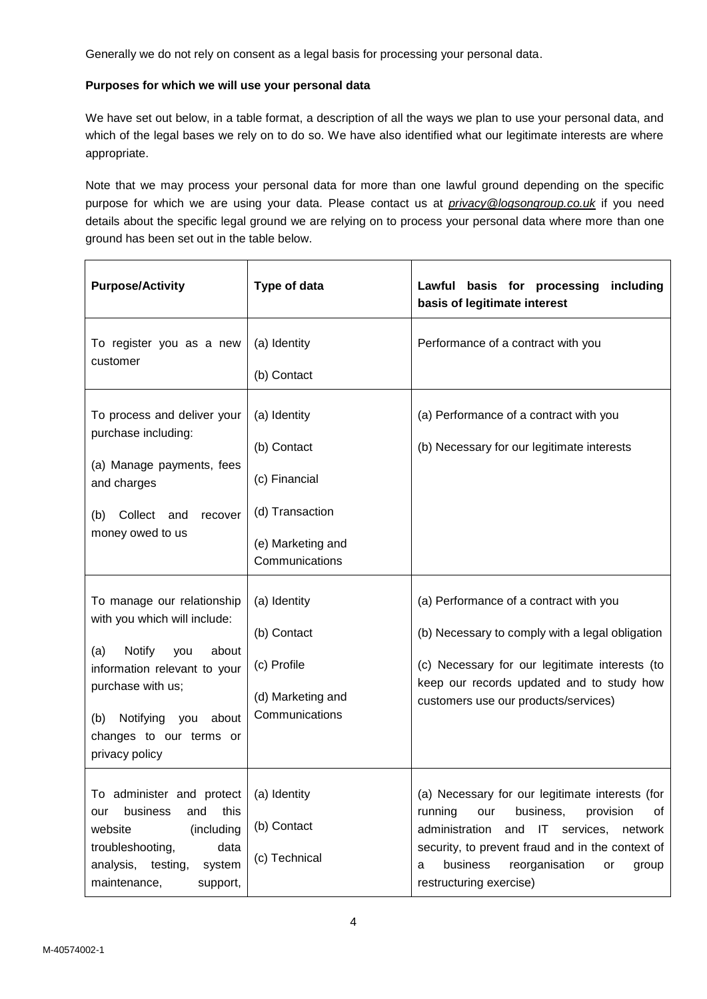Generally we do not rely on consent as a legal basis for processing your personal data.

## **Purposes for which we will use your personal data**

We have set out below, in a table format, a description of all the ways we plan to use your personal data, and which of the legal bases we rely on to do so. We have also identified what our legitimate interests are where appropriate.

Note that we may process your personal data for more than one lawful ground depending on the specific purpose for which we are using your data. Please contact us at *[privacy@logsongroup.co.uk](mailto:privacy@logsongroup.co.uk?subject=Privacy)* if you need details about the specific legal ground we are relying on to process your personal data where more than one ground has been set out in the table below.

| <b>Purpose/Activity</b>                                                                                                                                                                                                        | Type of data                                                                                           | Lawful basis for processing including<br>basis of legitimate interest                                                                                                                                                                                                         |
|--------------------------------------------------------------------------------------------------------------------------------------------------------------------------------------------------------------------------------|--------------------------------------------------------------------------------------------------------|-------------------------------------------------------------------------------------------------------------------------------------------------------------------------------------------------------------------------------------------------------------------------------|
| To register you as a new<br>customer                                                                                                                                                                                           | (a) Identity<br>(b) Contact                                                                            | Performance of a contract with you                                                                                                                                                                                                                                            |
| To process and deliver your<br>purchase including:<br>(a) Manage payments, fees<br>and charges<br>Collect<br>and<br>recover<br>(b)<br>money owed to us                                                                         | (a) Identity<br>(b) Contact<br>(c) Financial<br>(d) Transaction<br>(e) Marketing and<br>Communications | (a) Performance of a contract with you<br>(b) Necessary for our legitimate interests                                                                                                                                                                                          |
| To manage our relationship<br>with you which will include:<br>Notify<br>about<br>(a)<br>you<br>information relevant to your<br>purchase with us;<br>Notifying you<br>about<br>(b)<br>changes to our terms or<br>privacy policy | (a) Identity<br>(b) Contact<br>(c) Profile<br>(d) Marketing and<br>Communications                      | (a) Performance of a contract with you<br>(b) Necessary to comply with a legal obligation<br>(c) Necessary for our legitimate interests (to<br>keep our records updated and to study how<br>customers use our products/services)                                              |
| To administer and protect<br>business<br>and<br>this<br>our<br>(including<br>website<br>troubleshooting,<br>data<br>analysis, testing,<br>system<br>maintenance,<br>support,                                                   | (a) Identity<br>(b) Contact<br>(c) Technical                                                           | (a) Necessary for our legitimate interests (for<br>business,<br>running<br>our<br>provision<br>of<br>administration and IT services, network<br>security, to prevent fraud and in the context of<br>business<br>reorganisation<br>or<br>group<br>a<br>restructuring exercise) |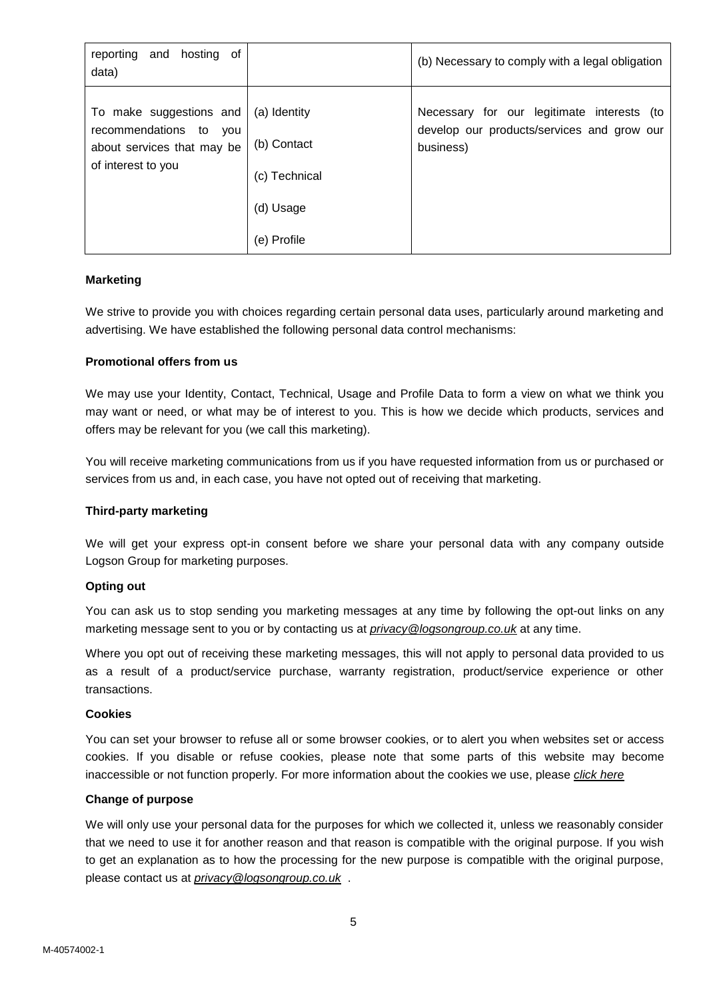| reporting<br>hosting of<br>and<br>data)                                                                  |                                                                          | (b) Necessary to comply with a legal obligation                                                       |
|----------------------------------------------------------------------------------------------------------|--------------------------------------------------------------------------|-------------------------------------------------------------------------------------------------------|
| To make suggestions and<br>recommendations to<br>you<br>about services that may be<br>of interest to you | (a) Identity<br>(b) Contact<br>(c) Technical<br>(d) Usage<br>(e) Profile | Necessary for our legitimate interests (to<br>develop our products/services and grow our<br>business) |

## **Marketing**

We strive to provide you with choices regarding certain personal data uses, particularly around marketing and advertising. We have established the following personal data control mechanisms:

## **Promotional offers from us**

We may use your Identity, Contact, Technical, Usage and Profile Data to form a view on what we think you may want or need, or what may be of interest to you. This is how we decide which products, services and offers may be relevant for you (we call this marketing).

You will receive marketing communications from us if you have requested information from us or purchased or services from us and, in each case, you have not opted out of receiving that marketing.

#### **Third-party marketing**

We will get your express opt-in consent before we share your personal data with any company outside Logson Group for marketing purposes.

#### **Opting out**

You can ask us to stop sending you marketing messages at any time by following the opt-out links on any marketing message sent to you or by contacting us at *[privacy@logsongroup.co.uk](mailto:privacy@logsongroup.co.uk?subject=Privacy)* at any time.

Where you opt out of receiving these marketing messages, this will not apply to personal data provided to us as a result of a product/service purchase, warranty registration, product/service experience or other transactions.

#### **Cookies**

You can set your browser to refuse all or some browser cookies, or to alert you when websites set or access cookies. If you disable or refuse cookies, please note that some parts of this website may become inaccessible or not function properly. For more information about the cookies we use, please *[click here](http://www.logsongroup.co.uk/documents/CookiePolicy-Logson.pdf)*

#### **Change of purpose**

We will only use your personal data for the purposes for which we collected it, unless we reasonably consider that we need to use it for another reason and that reason is compatible with the original purpose. If you wish to get an explanation as to how the processing for the new purpose is compatible with the original purpose, please contact us at *[privacy@logsongroup.co.uk](mailto:privacy@logsongroup.co.uk)* .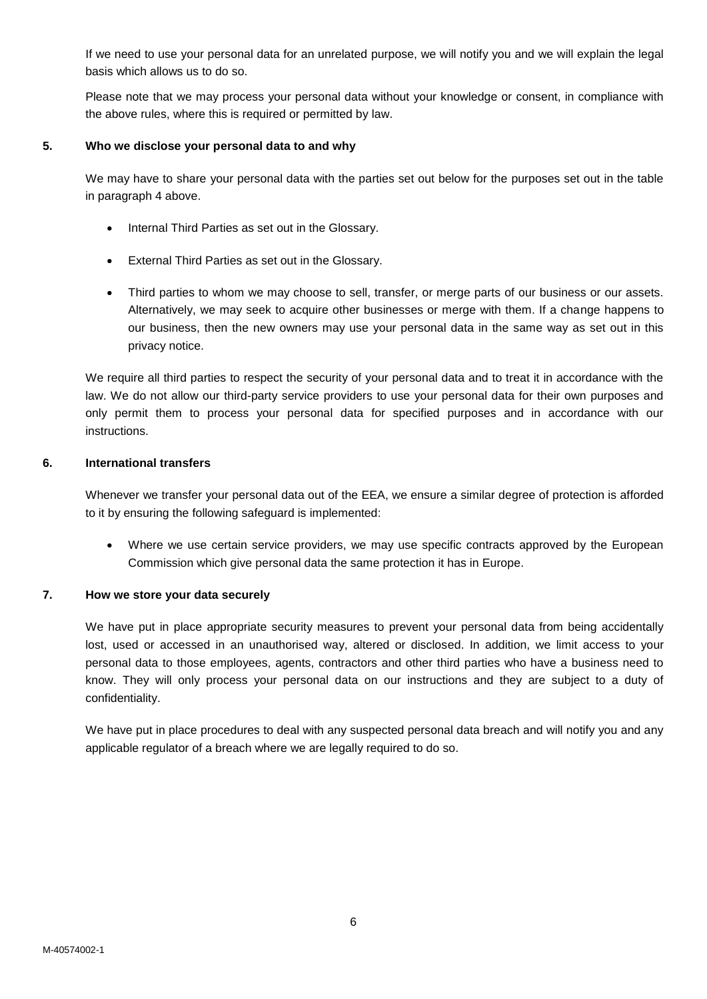If we need to use your personal data for an unrelated purpose, we will notify you and we will explain the legal basis which allows us to do so.

Please note that we may process your personal data without your knowledge or consent, in compliance with the above rules, where this is required or permitted by law.

## <span id="page-5-0"></span>**5. Who we disclose your personal data to and why**

We may have to share your personal data with the parties set out below for the purposes set out in the table in paragraph 4 above.

- Internal Third Parties as set out in the Glossary.
- External Third Parties as set out in the Glossary.
- Third parties to whom we may choose to sell, transfer, or merge parts of our business or our assets. Alternatively, we may seek to acquire other businesses or merge with them. If a change happens to our business, then the new owners may use your personal data in the same way as set out in this privacy notice.

We require all third parties to respect the security of your personal data and to treat it in accordance with the law. We do not allow our third-party service providers to use your personal data for their own purposes and only permit them to process your personal data for specified purposes and in accordance with our instructions.

## <span id="page-5-1"></span>**6. International transfers**

Whenever we transfer your personal data out of the EEA, we ensure a similar degree of protection is afforded to it by ensuring the following safeguard is implemented:

 Where we use certain service providers, we may use specific contracts approved by the European Commission which give personal data the same protection it has in Europe.

## <span id="page-5-2"></span>**7. How we store your data securely**

We have put in place appropriate security measures to prevent your personal data from being accidentally lost, used or accessed in an unauthorised way, altered or disclosed. In addition, we limit access to your personal data to those employees, agents, contractors and other third parties who have a business need to know. They will only process your personal data on our instructions and they are subject to a duty of confidentiality.

We have put in place procedures to deal with any suspected personal data breach and will notify you and any applicable regulator of a breach where we are legally required to do so.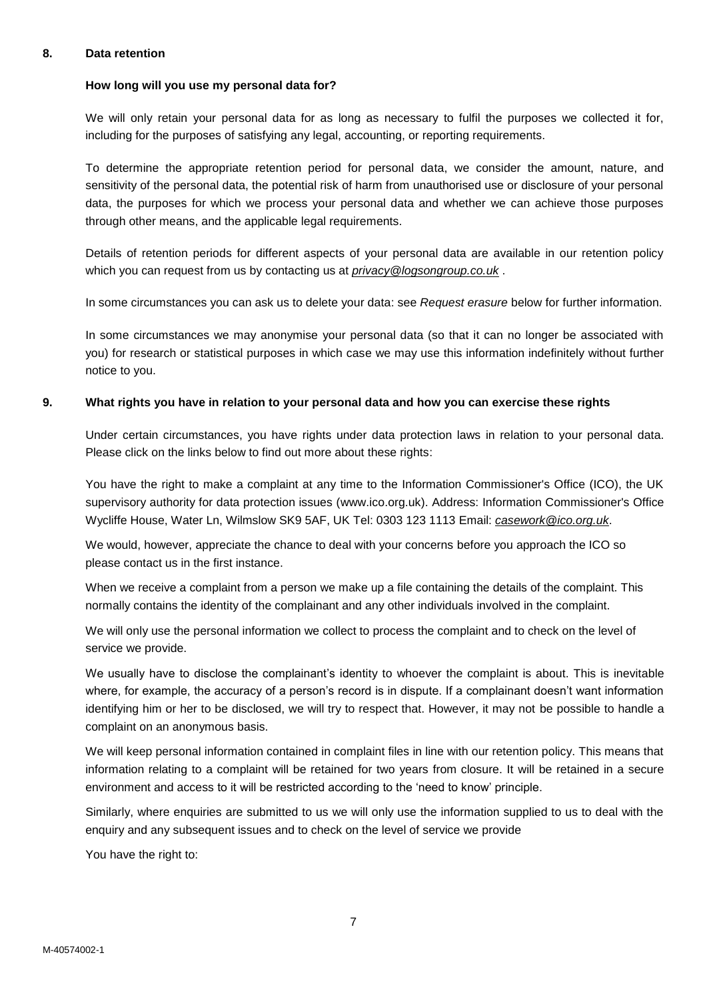## <span id="page-6-0"></span>**8. Data retention**

#### **How long will you use my personal data for?**

We will only retain your personal data for as long as necessary to fulfil the purposes we collected it for, including for the purposes of satisfying any legal, accounting, or reporting requirements.

To determine the appropriate retention period for personal data, we consider the amount, nature, and sensitivity of the personal data, the potential risk of harm from unauthorised use or disclosure of your personal data, the purposes for which we process your personal data and whether we can achieve those purposes through other means, and the applicable legal requirements.

Details of retention periods for different aspects of your personal data are available in our retention policy which you can request from us by contacting us at *[privacy@logsongroup.co.uk](mailto:privacy@logsongroup.co.uk)* .

In some circumstances you can ask us to delete your data: see *Request erasure* below for further information.

In some circumstances we may anonymise your personal data (so that it can no longer be associated with you) for research or statistical purposes in which case we may use this information indefinitely without further notice to you.

#### <span id="page-6-1"></span>**9. What rights you have in relation to your personal data and how you can exercise these rights**

Under certain circumstances, you have rights under data protection laws in relation to your personal data. Please click on the links below to find out more about these rights:

You have the right to make a complaint at any time to the Information Commissioner's Office (ICO), the UK supervisory authority for data protection issues (www.ico.org.uk). Address: Information Commissioner's Office Wycliffe House, Water Ln, Wilmslow SK9 5AF, UK Tel: 0303 123 1113 Email: *[casework@ico.org.uk](mailto:casework@ico.org.uk)*.

We would, however, appreciate the chance to deal with your concerns before you approach the ICO so please contact us in the first instance.

When we receive a complaint from a person we make up a file containing the details of the complaint. This normally contains the identity of the complainant and any other individuals involved in the complaint.

We will only use the personal information we collect to process the complaint and to check on the level of service we provide.

We usually have to disclose the complainant's identity to whoever the complaint is about. This is inevitable where, for example, the accuracy of a person's record is in dispute. If a complainant doesn't want information identifying him or her to be disclosed, we will try to respect that. However, it may not be possible to handle a complaint on an anonymous basis.

We will keep personal information contained in complaint files in line with our retention policy. This means that information relating to a complaint will be retained for two years from closure. It will be retained in a secure environment and access to it will be restricted according to the 'need to know' principle.

Similarly, where enquiries are submitted to us we will only use the information supplied to us to deal with the enquiry and any subsequent issues and to check on the level of service we provide

You have the right to: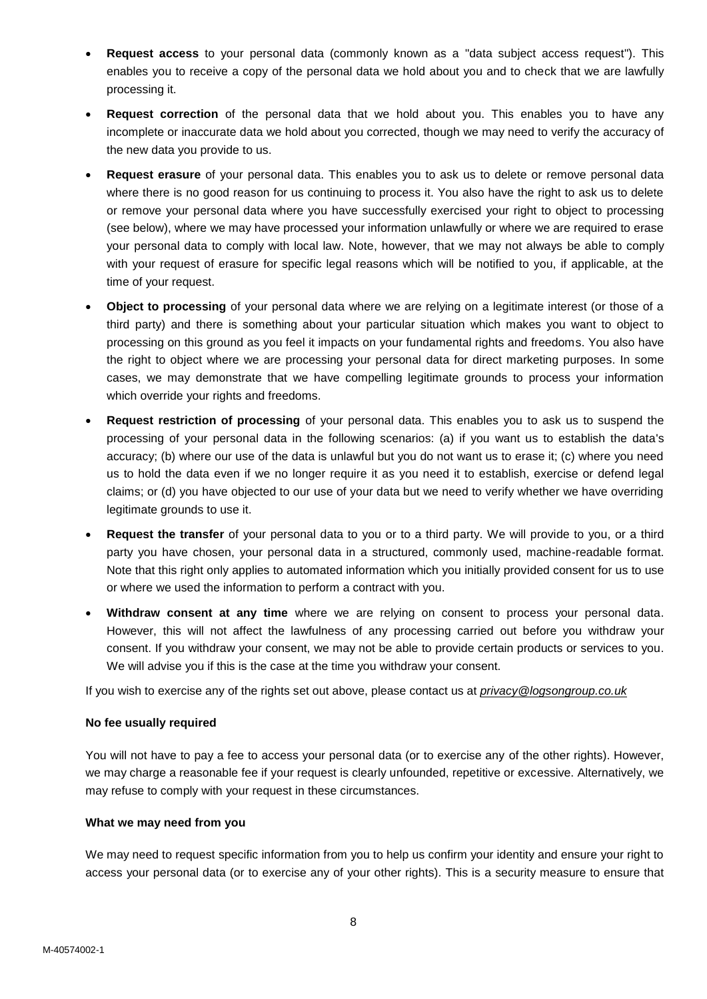- **Request access** to your personal data (commonly known as a "data subject access request"). This enables you to receive a copy of the personal data we hold about you and to check that we are lawfully processing it.
- **Request correction** of the personal data that we hold about you. This enables you to have any incomplete or inaccurate data we hold about you corrected, though we may need to verify the accuracy of the new data you provide to us.
- **Request erasure** of your personal data. This enables you to ask us to delete or remove personal data where there is no good reason for us continuing to process it. You also have the right to ask us to delete or remove your personal data where you have successfully exercised your right to object to processing (see below), where we may have processed your information unlawfully or where we are required to erase your personal data to comply with local law. Note, however, that we may not always be able to comply with your request of erasure for specific legal reasons which will be notified to you, if applicable, at the time of your request.
- **Object to processing** of your personal data where we are relying on a legitimate interest (or those of a third party) and there is something about your particular situation which makes you want to object to processing on this ground as you feel it impacts on your fundamental rights and freedoms. You also have the right to object where we are processing your personal data for direct marketing purposes. In some cases, we may demonstrate that we have compelling legitimate grounds to process your information which override your rights and freedoms.
- **Request restriction of processing** of your personal data. This enables you to ask us to suspend the processing of your personal data in the following scenarios: (a) if you want us to establish the data's accuracy; (b) where our use of the data is unlawful but you do not want us to erase it; (c) where you need us to hold the data even if we no longer require it as you need it to establish, exercise or defend legal claims; or (d) you have objected to our use of your data but we need to verify whether we have overriding legitimate grounds to use it.
- **Request the transfer** of your personal data to you or to a third party. We will provide to you, or a third party you have chosen, your personal data in a structured, commonly used, machine-readable format. Note that this right only applies to automated information which you initially provided consent for us to use or where we used the information to perform a contract with you.
- **Withdraw consent at any time** where we are relying on consent to process your personal data. However, this will not affect the lawfulness of any processing carried out before you withdraw your consent. If you withdraw your consent, we may not be able to provide certain products or services to you. We will advise you if this is the case at the time you withdraw your consent.

If you wish to exercise any of the rights set out above, please contact us at *[privacy@logsongroup.co.uk](mailto:privacy@logsongroup.co.uk?subject=Privacy)*

#### **No fee usually required**

You will not have to pay a fee to access your personal data (or to exercise any of the other rights). However, we may charge a reasonable fee if your request is clearly unfounded, repetitive or excessive. Alternatively, we may refuse to comply with your request in these circumstances.

#### **What we may need from you**

We may need to request specific information from you to help us confirm your identity and ensure your right to access your personal data (or to exercise any of your other rights). This is a security measure to ensure that